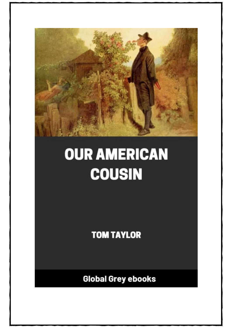

## **OUR AMERICAN COUSIN**

**TOM TAYLOR** 

**Global Grey ebooks**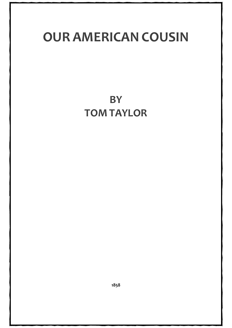## **OUR AMERICAN COUSIN**

**BY TOM TAYLOR**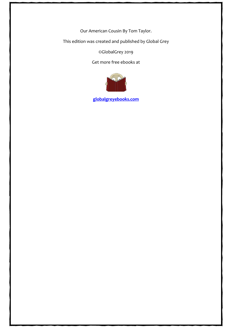Our American Cousin By Tom Taylor.

This edition was created and published by Global Grey

©GlobalGrey 2019

Get more free ebooks at



**[globalgreyebooks.com](https://www.globalgreyebooks.com/index.html)**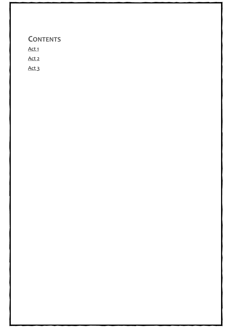## **CONTENTS**

Act<sub>1</sub>

[Act 2](#page-31-0)

Act<sub>3</sub>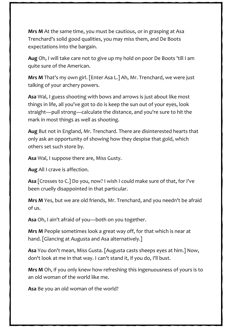**Mrs M** At the same time, you must be cautious, or in grasping at Asa Trenchard's solid good qualities, you may miss them, and De Boots expectations into the bargain.

**Aug** Oh, I will take care not to give up my hold on poor De Boots 'till I am quite sure of the American.

**Mrs M** That's my own girl. [Enter Asa L.] Ah, Mr. Trenchard, we were just talking of your archery powers.

**Asa** Wal, I guess shooting with bows and arrows is just about like most things in life, all you've got to do is keep the sun out of your eyes, look straight—pull strong—calculate the distance, and you're sure to hit the mark in most things as well as shooting.

**Aug** But not in England, Mr. Trenchard. There are disinterested hearts that only ask an opportunity of showing how they despise that gold, which others set such store by.

**Asa** Wal, I suppose there are, Miss Gusty.

**Aug** All I crave is affection.

**Asa** [Crosses to C.] Do you, now? I wish I could make sure of that, for I've been cruelly disappointed in that particular.

**Mrs M** Yes, but we are old friends, Mr. Trenchard, and you needn't be afraid of us.

**Asa** Oh, I ain't afraid of you—both on you together.

**Mrs M** People sometimes look a great way off, for that which is near at hand. [Glancing at Augusta and Asa alternatively.]

**Asa** You don't mean, Miss Gusta. [Augusta casts sheeps eyes at him.] Now, don't look at me in that way. I can't stand it, if you do, I'll bust.

**Mrs M** Oh, if you only knew how refreshing this ingenuousness of yours is to an old woman of the world like me.

**Asa** Be you an old woman of the world?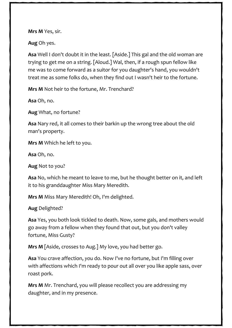**Mrs M** Yes, sir.

**Aug** Oh yes.

**Asa** Well I don't doubt it in the least. [Aside.] This gal and the old woman are trying to get me on a string. [Aloud.] Wal, then, if a rough spun fellow like me was to come forward as a suitor for you daughter's hand, you wouldn't treat me as some folks do, when they find out I wasn't heir to the fortune.

**Mrs M** Not heir to the fortune, Mr. Trenchard?

**Asa** Oh, no.

**Aug** What, no fortune?

**Asa** Nary red, it all comes to their barkin up the wrong tree about the old man's property.

**Mrs M** Which he left to you.

**Asa** Oh, no.

**Aug** Not to you?

**Asa** No, which he meant to leave to me, but he thought better on it, and left it to his granddaughter Miss Mary Meredith.

**Mrs M** Miss Mary Meredith! Oh, I'm delighted.

**Aug** Delighted?

**Asa** Yes, you both look tickled to death. Now, some gals, and mothers would go away from a fellow when they found that out, but you don't valley fortune, Miss Gusty?

**Mrs M** [Aside, crosses to Aug.] My love, you had better go.

**Asa** You crave affection, *you* do. Now I've no fortune, but I'm filling over with affections which I'm ready to pour out all over you like apple sass, over roast pork.

**Mrs M** Mr. Trenchard, you will please recollect you are addressing my daughter, and in my presence.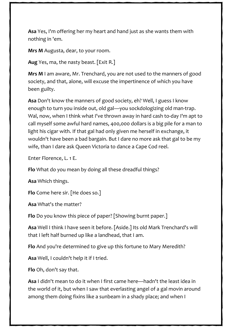**Asa** Yes, I'm offering her my heart and hand just as she wants them with nothing in 'em.

**Mrs M** Augusta, dear, to your room.

**Aug** Yes, ma, the nasty beast. [Exit R.]

**Mrs M** I am aware, Mr. Trenchard, you are not used to the manners of good society, and that, alone, will excuse the impertinence of which you have been guilty.

**Asa** Don't know the manners of good society, eh? Well, I guess I know enough to turn you inside out, old gal—you sockdologizing old man-trap. Wal, now, when I think what I've thrown away in hard cash to-day I'm apt to call myself some awful hard names, 400,000 dollars is a big pile for a man to light his cigar with. If that gal had only given me herself in exchange, it wouldn't have been a bad bargain. But I dare no more ask that gal to be my wife, than I dare ask Queen Victoria to dance a Cape Cod reel.

Enter Florence, L. 1 E.

**Flo** What do you mean by doing all these dreadful things?

**Asa** Which things.

**Flo** Come here sir. [He does so.]

**Asa** What's the matter?

**Flo** Do you know this piece of paper? [Showing burnt paper.]

**Asa** Well I think I have seen it before. [Aside.] Its old Mark Trenchard's will that I left half burned up like a landhead, that I am.

**Flo** And you're determined to give up this fortune to Mary Meredith?

**Asa** Well, I couldn't help it if I tried.

**Flo** Oh, don't say that.

**Asa** I didn't mean to do it when I first came here—hadn't the least idea in the world of it, but when I saw that everlasting angel of a gal movin around among them doing fixins like a sunbeam in a shady place; and when I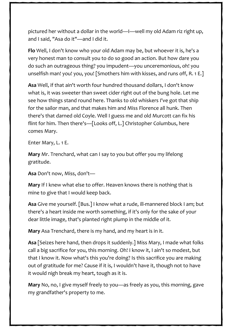pictured her without a dollar in the world—I—well my old Adam riz right up, and I said, "Asa do it"—and I did it.

**Flo** Well, I don't know who your old Adam may be, but whoever it is, he's a very honest man to consult you to do so good an action. But how dare you do such an outrageous thing? you impudent—you unceremonious, oh! you unselfish man! you! you, you! [Smothers him with kisses, and runs off, R. 1 E.]

**Asa** Well, if that ain't worth four hundred thousand dollars, I don't know what is, it was sweeter than sweet cider right out of the bung hole. Let me see how things stand round here. Thanks to old whiskers I've got that ship for the sailor man, and that makes him and Miss Florence all hunk. Then there's that darned old Coyle. Well I guess me and old Murcott can fix his flint for him. Then there's—[Looks off, L.] Christopher Columbus, here comes Mary.

Enter Mary, L. 1 E.

**Mary** Mr. Trenchard, what can I say to you but offer you my lifelong gratitude.

**Asa** Don't now, Miss, don't—

**Mary** If I knew what else to offer. Heaven knows there is nothing that is mine to give that I would keep back.

**Asa** Give me yourself. [Bus.] I know what a rude, ill-mannered block I am; but there's a heart inside me worth something, if it's only for the sake of your dear little image, that's planted right plump in the middle of it.

**Mary** Asa Trenchard, there is my hand, and my heart is in it.

**Asa** [Seizes here hand, then drops it suddenly.] Miss Mary, I made what folks call a big sacrifice for you, this morning. Oh! I know it, I ain't so modest, but that I know it. Now what's this you're doing? Is this sacrifice you are making out of gratitude for me? Cause if it is, I wouldn't have it, though not to have it would nigh break my heart, tough as it is.

**Mary** No, no, I give myself freely to you—as freely as you, this morning, gave my grandfather's property to me.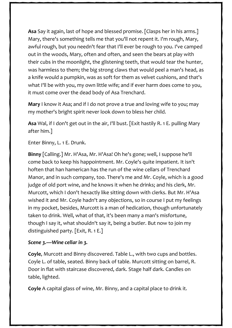**Asa** Say it again, last of hope and blessed promise. [Clasps her in his arms.] Mary, there's something tells me that you'll not repent it. I'm rough, Mary, awful rough, but you needn't fear that I'll ever be rough to you. I've camped out in the woods, Mary, often and often, and seen the bears at play with their cubs in the moonlight, the glistening teeth, that would tear the hunter, was harmless to them; the big strong claws that would peel a man's head, as a knife would a pumpkin, was as soft for them as velvet cushions, and that's what I'll be with you, my own little wife; and if ever harm does come to you, it must come over the dead body of Asa Trenchard.

**Mary** I know it Asa; and if I do not prove a true and loving wife to you; may my mother's bright spirit never look down to bless her child.

**Asa** Wal, if I don't get out in the air, I'll bust. [Exit hastily R. 1 E. pulling Mary after him.]

Enter Binny, L. 1 E. Drunk.

**Binny** [Calling.] Mr. H'Asa, Mr. H'Asa! Oh he's gone; well, I suppose he'll come back to keep his happointment. Mr. Coyle's quite impatient. It isn't hoften that han hamerican has the run of the wine cellars of Trenchard Manor, and in such company, too. There's me and Mr. Coyle, which is a good judge of old port wine, and he knows it when he drinks; and his clerk, Mr. Murcott, which I don't hexactly like sitting down with clerks. But Mr. H'Asa wished it and Mr. Coyle hadn't any objections, so in course I put my feelings in my pocket, besides, Murcott is a man of hedication, though unfortunately taken to drink. Well, what of that, it's been many a man's misfortune, though I say it, what shouldn't say it, being a butler. But now to join my distinguished party. [Exit, R. 1 E.]

## *Scene 3.—Wine cellar in 3.*

**Coyle**, Murcott and Binny discovered. Table L., with two cups and bottles. Coyle L. of table, seated. Binny back of table. Murcott sitting on barrel, R. Door in flat with staircase discovered, dark. Stage half dark. Candles on table, lighted.

**Coyle** A capital glass of wine, Mr. Binny, and a capital place to drink it.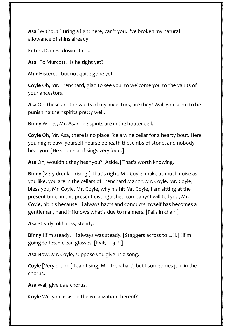**Asa** [Without.] Bring a light here, can't you. I've broken my natural allowance of shins already.

Enters D. in F., down stairs.

**Asa** [To Murcott.] Is he tight yet?

**Mur** Histered, but not quite gone yet.

**Coyle** Oh, Mr. Trenchard, glad to see you, to welcome you to the vaults of your ancestors.

**Asa** Oh! these are the vaults of my ancestors, are they? Wal, you seem to be punishing their spirits pretty well.

**Binny** Wines, Mr. Asa? The spirits are in the houter cellar.

**Coyle** Oh, Mr. Asa, there is no place like a wine cellar for a hearty bout. Here you might bawl yourself hoarse beneath these ribs of stone, and nobody hear you. [He shouts and sings very loud.]

**Asa** Oh, wouldn't they hear you? [Aside.] That's worth knowing.

**Binny** [Very drunk—rising.] That's right, Mr. Coyle, make as much noise as you like, you are in the cellars of Trenchard Manor, Mr. Coyle. Mr. Coyle, bless you, Mr. Coyle. Mr. Coyle, why his hit Mr. Coyle, I am sitting at the present time, in this present distinguished company? I will tell you, Mr. Coyle, hit his because Hi always hacts and conducts myself has becomes a gentleman, hand Hi knows what's due to manners. [Falls in chair.]

**Asa** Steady, old hoss, steady.

**Binny** Hi'm steady. Hi always was steady. [Staggers across to L.H.] Hi'm going to fetch clean glasses. [Exit, L. 3 R.]

**Asa** Now, Mr. Coyle, suppose you give us a song.

**Coyle** [Very drunk.] I can't sing, Mr. Trenchard, but I sometimes join in the chorus.

**Asa** Wal, give us a chorus.

**Coyle** Will you assist in the vocalization thereof?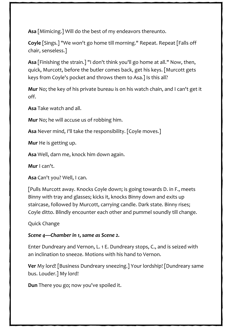**Asa** [Mimicing.] Will do the best of my endeavors thereunto.

**Coyle** [Sings.] "We won't go home till morning." Repeat. Repeat [Falls off chair, senseless.]

**Asa** [Finishing the strain.] "I don't think you'll go home at all." Now, then, quick, Murcott, before the butler comes back, get his keys. [Murcott gets keys from Coyle's pocket and throws them to Asa.] Is this all?

**Mur** No; the key of his private bureau is on his watch chain, and I can't get it off.

**Asa** Take watch and all.

**Mur** No; he will accuse us of robbing him.

**Asa** Never mind, I'll take the responsibility. [Coyle moves.]

**Mur** He is getting up.

**Asa** Well, darn me, knock him down again.

**Mur** I can't.

**Asa** Can't you? Well, I can.

[Pulls Murcott away. Knocks Coyle down; is going towards D. in F., meets Binny with tray and glasses; kicks it, knocks Binny down and exits up staircase, followed by Murcott, carrying candle. Dark state. Binny rises; Coyle ditto. Blindly encounter each other and pummel soundly till change.

Quick Change

## *Scene 4—Chamber in 1, same as Scene 2.*

Enter Dundreary and Vernon, L. 1 E. Dundreary stops, C., and is seized with an inclination to sneeze. Motions with his hand to Vernon.

**Ver** My lord! [Business Dundreary sneezing.] Your lordship! [Dundreary same bus. Louder.] My lord!

**Dun** There you go; now you've spoiled it.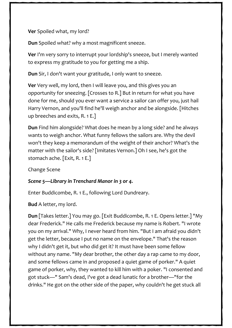**Ver** Spoiled what, my lord?

**Dun** Spoiled what? why a most magnificent sneeze.

**Ver** I'm very sorry to interrupt your lordship's sneeze, but I merely wanted to express my gratitude to you for getting me a ship.

**Dun** Sir, I don't want your gratitude, I only want to sneeze.

**Ver** Very well, my lord, then I will leave you, and this gives you an opportunity for sneezing. [Crosses to R.] But in return for what you have done for me, should you ever want a service a sailor can offer you, just hail Harry Vernon, and you'll find he'll weigh anchor and be alongside. [Hitches up breeches and exits, R. 1 E.]

**Dun** Find him alongside? What does he mean by a long side? and he always wants to weigh anchor. What funny fellows the sailors are. Why the devil won't they keep a memorandum of the weight of their anchor? What's the matter with the sailor's side? [Imitates Vernon.] Oh I see, he's got the stomach ache. [Exit, R. 1 E.]

Change Scene

## *Scene 5—Library in Trenchard Manor in 3 or 4.*

Enter Buddicombe, R. 1 E., following Lord Dundreary.

**Bud** A letter, my lord.

**Dun** [Takes letter.] You may go. [Exit Buddicombe, R. 1 E. Opens letter.] "My dear Frederick." He calls me Frederick because my name is Robert. "I wrote you on my arrival." Why, I never heard from him. "But I am afraid you didn't get the letter, because I put no name on the envelope." That's the reason why I didn't get it, but who did get it? It must have been some fellow without any name. "My dear brother, the other day a rap came to my door, and some fellows came in and proposed a quiet game of porker." A quiet game of porker, why, they wanted to kill him with a poker. "I consented and got stuck—" Sam's dead, I've got a dead lunatic for a brother—"for the drinks." He got on the other side of the paper, why couldn't he get stuck all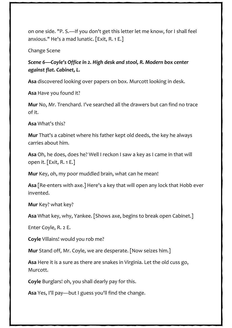on one side. "P. S.—If you don't get this letter let me know, for I shall feel anxious." He's a mad lunatic. [Exit, R. 1 E.]

Change Scene

*Scene 6—Coyle's Office in 2. High desk and stool, R. Modern box center against flat. Cabinet, L.*

**Asa** discovered looking over papers on box. Murcott looking in desk.

**Asa** Have you found it?

**Mur** No, Mr. Trenchard. I've searched all the drawers but can find no trace of it.

**Asa** What's this?

**Mur** That's a cabinet where his father kept old deeds, the key he always carries about him.

**Asa** Oh, he does, does he? Well I reckon I saw a key as I came in that will open it. [Exit, R. 1 E.]

**Mur** Key, oh, my poor muddled brain, what can he mean!

**Asa** [Re-enters with axe.] Here's a key that will open any lock that Hobb ever invented.

**Mur** Key? what key?

**Asa** What key, why, Yankee. [Shows axe, begins to break open Cabinet.]

Enter Coyle, R. 2 E.

**Coyle** Villains! would you rob me?

**Mur** Stand off, Mr. Coyle, we are desperate. [Now seizes him.]

**Asa** Here it is a sure as there are snakes in Virginia. Let the old cuss go, Murcott.

**Coyle** Burglars! oh, you shall dearly pay for this.

**Asa** Yes, I'll pay—but I guess you'll find the change.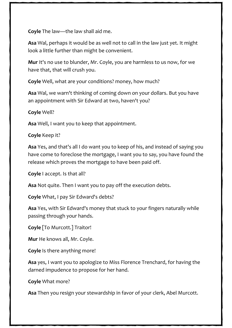**Coyle** The law—the law shall aid me.

**Asa** Wal, perhaps it would be as well not to call in the law just yet. It might look a little further than might be convenient.

**Mur** It's no use to blunder, Mr. Coyle, you are harmless to us now, for we have that, that will crush you.

**Coyle** Well, what are your conditions? money, how much?

**Asa** Wal, we warn't thinking of coming down on your dollars. But you have an appointment with Sir Edward at two, haven't you?

**Coyle** Well?

**Asa** Well, I want you to keep that appointment.

**Coyle** Keep it?

**Asa** Yes, and that's all I do want you to keep of his, and instead of saying you have come to foreclose the mortgage, I want you to say, you have found the release which proves the mortgage to have been paid off.

**Coyle** I accept. Is that all?

**Asa** Not quite. Then I want you to pay off the execution debts.

**Coyle** What, I pay Sir Edward's debts?

**Asa** Yes, with Sir Edward's money that stuck to your fingers naturally while passing through your hands.

**Coyle** [To Murcott.] Traitor!

**Mur** He knows all, Mr. Coyle.

**Coyle** Is there anything more!

**Asa** yes, I want you to apologize to Miss Florence Trenchard, for having the darned impudence to propose for her hand.

**Coyle** What more?

**Asa** Then you resign your stewardship in favor of your clerk, Abel Murcott.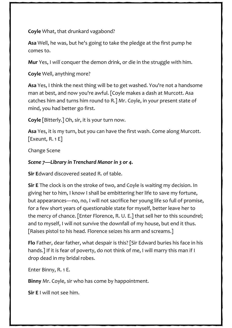**Coyle** What, that drunkard vagabond?

**Asa** Well, he was, but he's going to take the pledge at the first pump he comes to.

**Mur** Yes, I *will* conquer the demon drink, or die in the struggle with him.

**Coyle** Well, anything more?

**Asa** Yes, I think the next thing will be to get washed. You're not a handsome man at best, and now you're awful. [Coyle makes a dash at Murcott. Asa catches him and turns him round to R.] Mr. Coyle, in your present state of mind, you had better go first.

**Coyle** [Bitterly.] Oh, sir, it is your turn now.

**Asa** Yes, it is my turn, but you can have the first wash. Come along Murcott. [Exeunt, R. 1 E]

Change Scene

## *Scene 7—Library in Trenchard Manor in 3 or 4.*

**Sir E**dward discovered seated R. of table.

**Sir E** The clock is on the stroke of two, and Coyle is waiting my decision. In giving her to him, I know I shall be embittering her life to save my fortune, but appearances—no, no, I will not sacrifice her young life so full of promise, for a few short years of questionable state for myself, better leave her to the mercy of chance. [Enter Florence, R. U. E.] that sell her to this scoundrel; and to myself, I will not survive the downfall of my house, but end it thus. [Raises pistol to his head. Florence seizes his arm and screams.]

**Flo** Father, dear father, what despair is this? [Sir Edward buries his face in his hands.] If it is fear of poverty, do not think of me, I will marry this man if I drop dead in my bridal robes.

Enter Binny, R. 1 E.

**Binny** Mr. Coyle, sir who has come by happointment.

**Sir E** I will not see him.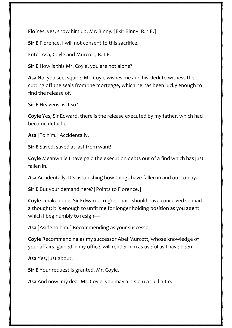**Flo** Yes, yes, show him up, Mr. Binny. [Exit Binny, R. 1 E.]

**Sir E** Florence, I will not consent to this sacrifice.

Enter Asa, Coyle and Murcott, R. 1 E.

**Sir E** How is this Mr. Coyle, you are not alone?

**Asa** No, you see, squire, Mr. Coyle wishes me and his clerk to witness the cutting off the seals from the mortgage, which he has been lucky enough to find the release of.

**Sir E** Heavens, is it so?

**Coyle** Yes, Sir Edward, there is the release executed by my father, which had become detached.

**Asa** [To him.] Accidentally.

**Sir E** Saved, saved at last from want!

**Coyle** Meanwhile I have paid the execution debts out of a find which has just fallen in.

**Asa** Accidentally. It's astonishing how things have fallen in and out to-day.

**Sir E** But your demand here? [Points to Florence.]

**Coyle** I make none, Sir Edward. I regret that I should have conceived so mad a thought; it is enough to unfit me for longer holding position as you agent, which I beg humbly to resign—

**Asa** [Aside to him.] Recommending as your successor—

**Coyle** Recommending as my successor Abel Murcott, whose knowledge of your affairs, gained in my office, will render him as useful as I have been.

**Asa** Yes, just about.

**Sir E** Your request is granted, Mr. Coyle.

**Asa** And now, my dear Mr. Coyle, you may a-b-s-q-u-a-t-u-l-a-t-e.